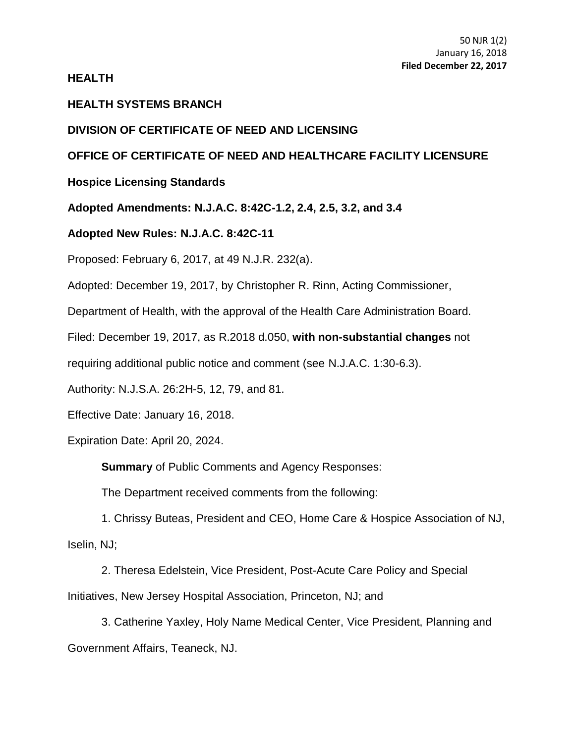## **HEALTH**

# **HEALTH SYSTEMS BRANCH**

# **DIVISION OF CERTIFICATE OF NEED AND LICENSING**

# **OFFICE OF CERTIFICATE OF NEED AND HEALTHCARE FACILITY LICENSURE**

# **Hospice Licensing Standards**

**Adopted Amendments: N.J.A.C. 8:42C-1.2, 2.4, 2.5, 3.2, and 3.4**

# **Adopted New Rules: N.J.A.C. 8:42C-11**

Proposed: February 6, 2017, at 49 N.J.R. 232(a).

Adopted: December 19, 2017, by Christopher R. Rinn, Acting Commissioner,

Department of Health, with the approval of the Health Care Administration Board.

Filed: December 19, 2017, as R.2018 d.050, **with non-substantial changes** not

requiring additional public notice and comment (see [N.J.A.C. 1:30-6.3\)](https://web.lexisnexis.com/research/buttonTFLink?_m=e08c1815c3b37e25e601cf9b124553c9&_xfercite=%3ccite%20cc%3d%22USA%22%3e%3c%21%5bCDATA%5b49%20N.J.R.%201214%28a%29%5d%5d%3e%3c%2fcite%3e&_butType=4&_butStat=0&_butNum=3&_butInline=1&_butinfo=NJ%20ADMIN%201%3a30-6.3&_fmtstr=FULL&docnum=10&_startdoc=1&wchp=dGLbVzB-zSkAb&_md5=dc369c8622acacfc07ce2bb9c9691c1b).

Authority: [N.J.S.A. 26:2H-5,](https://web.lexisnexis.com/research/buttonTFLink?_m=095d57f5a0ded30d74d4d90bc2c43da1&_xfercite=%3ccite%20cc%3d%22USA%22%3e%3c%21%5bCDATA%5b49%20N.J.R.%20232%28a%29%5d%5d%3e%3c%2fcite%3e&_butType=4&_butStat=0&_butNum=7&_butInline=1&_butinfo=NJCODE%2026%3a2H-5&_fmtstr=FULL&docnum=29&_startdoc=26&wchp=dGLbVzB-zSkAb&_md5=eb25d0152fed65f942f69bf205231725) 12, 79, and 81.

Effective Date: January 16, 2018.

Expiration Date: April 20, 2024.

**Summary** of Public Comments and Agency Responses:

The Department received comments from the following:

1. Chrissy Buteas, President and CEO, Home Care & Hospice Association of NJ, Iselin, NJ;

2. Theresa Edelstein, Vice President, Post-Acute Care Policy and Special Initiatives, New Jersey Hospital Association, Princeton, NJ; and

3. Catherine Yaxley, Holy Name Medical Center, Vice President, Planning and Government Affairs, Teaneck, NJ.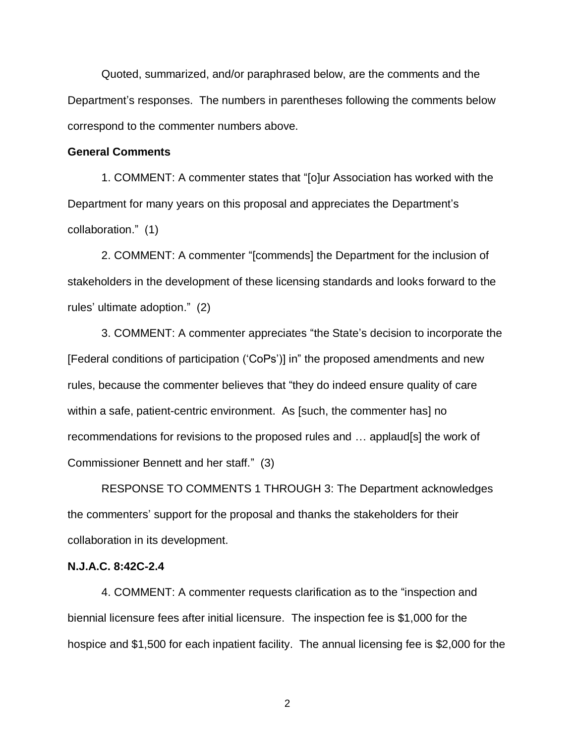Quoted, summarized, and/or paraphrased below, are the comments and the Department's responses. The numbers in parentheses following the comments below correspond to the commenter numbers above.

## **General Comments**

1. COMMENT: A commenter states that "[o]ur Association has worked with the Department for many years on this proposal and appreciates the Department's collaboration." (1)

2. COMMENT: A commenter "[commends] the Department for the inclusion of stakeholders in the development of these licensing standards and looks forward to the rules' ultimate adoption." (2)

3. COMMENT: A commenter appreciates "the State's decision to incorporate the [Federal conditions of participation ('CoPs')] in" the proposed amendments and new rules, because the commenter believes that "they do indeed ensure quality of care within a safe, patient-centric environment. As [such, the commenter has] no recommendations for revisions to the proposed rules and … applaud[s] the work of Commissioner Bennett and her staff." (3)

RESPONSE TO COMMENTS 1 THROUGH 3: The Department acknowledges the commenters' support for the proposal and thanks the stakeholders for their collaboration in its development.

#### **N.J.A.C. 8:42C-2.4**

4. COMMENT: A commenter requests clarification as to the "inspection and biennial licensure fees after initial licensure. The inspection fee is \$1,000 for the hospice and \$1,500 for each inpatient facility. The annual licensing fee is \$2,000 for the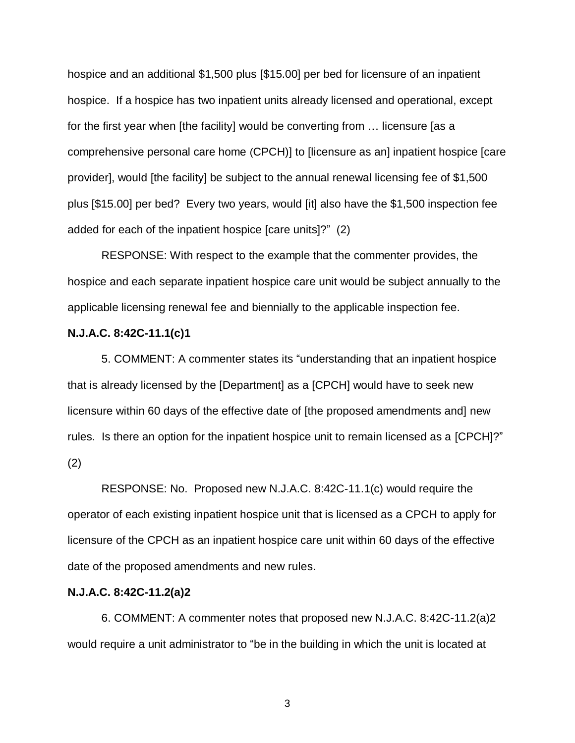hospice and an additional \$1,500 plus [\$15.00] per bed for licensure of an inpatient hospice. If a hospice has two inpatient units already licensed and operational, except for the first year when [the facility] would be converting from … licensure [as a comprehensive personal care home (CPCH)] to [licensure as an] inpatient hospice [care provider], would [the facility] be subject to the annual renewal licensing fee of \$1,500 plus [\$15.00] per bed? Every two years, would [it] also have the \$1,500 inspection fee added for each of the inpatient hospice [care units]?" (2)

RESPONSE: With respect to the example that the commenter provides, the hospice and each separate inpatient hospice care unit would be subject annually to the applicable licensing renewal fee and biennially to the applicable inspection fee.

### **N.J.A.C. 8:42C-11.1(c)1**

5. COMMENT: A commenter states its "understanding that an inpatient hospice that is already licensed by the [Department] as a [CPCH] would have to seek new licensure within 60 days of the effective date of [the proposed amendments and] new rules. Is there an option for the inpatient hospice unit to remain licensed as a [CPCH]?" (2)

RESPONSE: No. Proposed new N.J.A.C. 8:42C-11.1(c) would require the operator of each existing inpatient hospice unit that is licensed as a CPCH to apply for licensure of the CPCH as an inpatient hospice care unit within 60 days of the effective date of the proposed amendments and new rules.

### **N.J.A.C. 8:42C-11.2(a)2**

6. COMMENT: A commenter notes that proposed new N.J.A.C. 8:42C-11.2(a)2 would require a unit administrator to "be in the building in which the unit is located at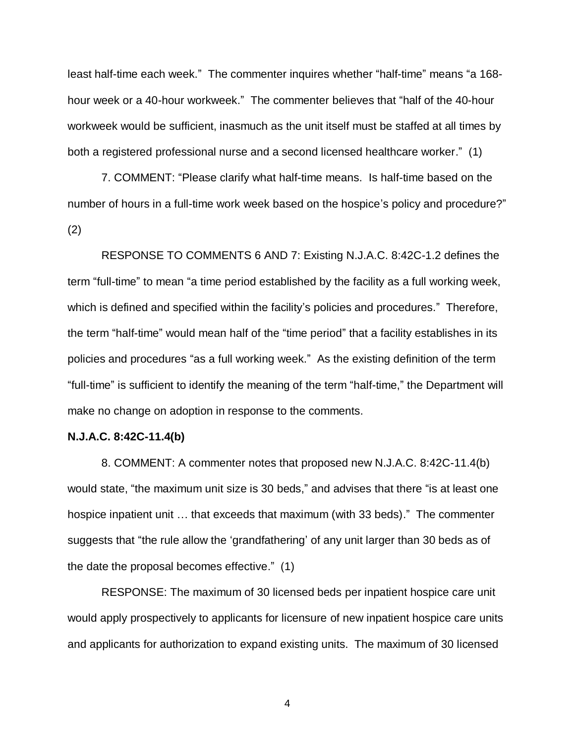least half-time each week." The commenter inquires whether "half-time" means "a 168 hour week or a 40-hour workweek." The commenter believes that "half of the 40-hour workweek would be sufficient, inasmuch as the unit itself must be staffed at all times by both a registered professional nurse and a second licensed healthcare worker." (1)

7. COMMENT: "Please clarify what half-time means. Is half-time based on the number of hours in a full-time work week based on the hospice's policy and procedure?" (2)

RESPONSE TO COMMENTS 6 AND 7: Existing N.J.A.C. 8:42C-1.2 defines the term "full-time" to mean "a time period established by the facility as a full working week, which is defined and specified within the facility's policies and procedures." Therefore, the term "half-time" would mean half of the "time period" that a facility establishes in its policies and procedures "as a full working week." As the existing definition of the term "full-time" is sufficient to identify the meaning of the term "half-time," the Department will make no change on adoption in response to the comments.

#### **N.J.A.C. 8:42C-11.4(b)**

8. COMMENT: A commenter notes that proposed new N.J.A.C. 8:42C-11.4(b) would state, "the maximum unit size is 30 beds," and advises that there "is at least one hospice inpatient unit … that exceeds that maximum (with 33 beds)." The commenter suggests that "the rule allow the 'grandfathering' of any unit larger than 30 beds as of the date the proposal becomes effective." (1)

RESPONSE: The maximum of 30 licensed beds per inpatient hospice care unit would apply prospectively to applicants for licensure of new inpatient hospice care units and applicants for authorization to expand existing units. The maximum of 30 licensed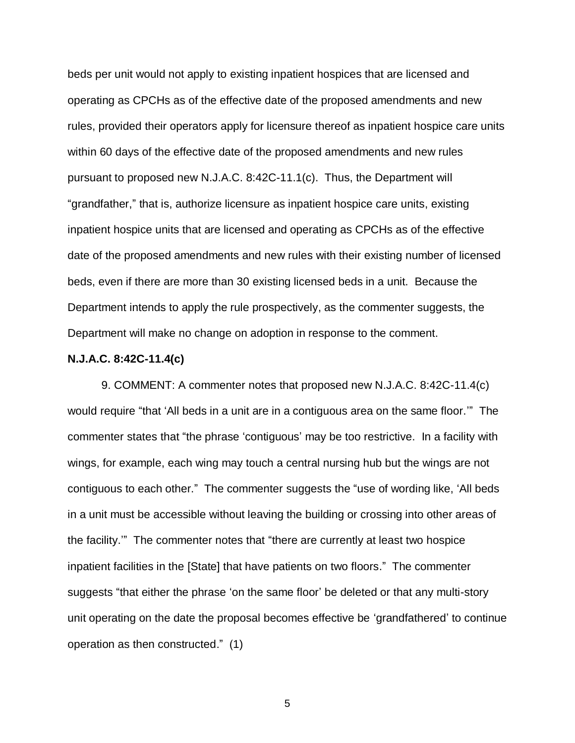beds per unit would not apply to existing inpatient hospices that are licensed and operating as CPCHs as of the effective date of the proposed amendments and new rules, provided their operators apply for licensure thereof as inpatient hospice care units within 60 days of the effective date of the proposed amendments and new rules pursuant to proposed new N.J.A.C. 8:42C-11.1(c). Thus, the Department will "grandfather," that is, authorize licensure as inpatient hospice care units, existing inpatient hospice units that are licensed and operating as CPCHs as of the effective date of the proposed amendments and new rules with their existing number of licensed beds, even if there are more than 30 existing licensed beds in a unit. Because the Department intends to apply the rule prospectively, as the commenter suggests, the Department will make no change on adoption in response to the comment.

#### **N.J.A.C. 8:42C-11.4(c)**

9. COMMENT: A commenter notes that proposed new N.J.A.C. 8:42C-11.4(c) would require "that 'All beds in a unit are in a contiguous area on the same floor.'" The commenter states that "the phrase 'contiguous' may be too restrictive. In a facility with wings, for example, each wing may touch a central nursing hub but the wings are not contiguous to each other." The commenter suggests the "use of wording like, 'All beds in a unit must be accessible without leaving the building or crossing into other areas of the facility.'" The commenter notes that "there are currently at least two hospice inpatient facilities in the [State] that have patients on two floors." The commenter suggests "that either the phrase 'on the same floor' be deleted or that any multi-story unit operating on the date the proposal becomes effective be 'grandfathered' to continue operation as then constructed." (1)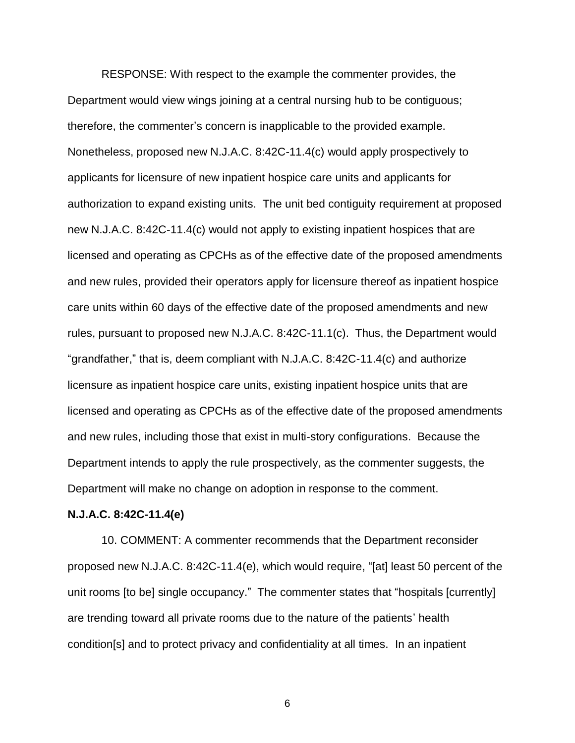RESPONSE: With respect to the example the commenter provides, the Department would view wings joining at a central nursing hub to be contiguous; therefore, the commenter's concern is inapplicable to the provided example. Nonetheless, proposed new N.J.A.C. 8:42C-11.4(c) would apply prospectively to applicants for licensure of new inpatient hospice care units and applicants for authorization to expand existing units. The unit bed contiguity requirement at proposed new N.J.A.C. 8:42C-11.4(c) would not apply to existing inpatient hospices that are licensed and operating as CPCHs as of the effective date of the proposed amendments and new rules, provided their operators apply for licensure thereof as inpatient hospice care units within 60 days of the effective date of the proposed amendments and new rules, pursuant to proposed new N.J.A.C. 8:42C-11.1(c). Thus, the Department would "grandfather," that is, deem compliant with N.J.A.C. 8:42C-11.4(c) and authorize licensure as inpatient hospice care units, existing inpatient hospice units that are licensed and operating as CPCHs as of the effective date of the proposed amendments and new rules, including those that exist in multi-story configurations. Because the Department intends to apply the rule prospectively, as the commenter suggests, the Department will make no change on adoption in response to the comment.

### **N.J.A.C. 8:42C-11.4(e)**

10. COMMENT: A commenter recommends that the Department reconsider proposed new N.J.A.C. 8:42C-11.4(e), which would require, "[at] least 50 percent of the unit rooms [to be] single occupancy." The commenter states that "hospitals [currently] are trending toward all private rooms due to the nature of the patients' health condition[s] and to protect privacy and confidentiality at all times. In an inpatient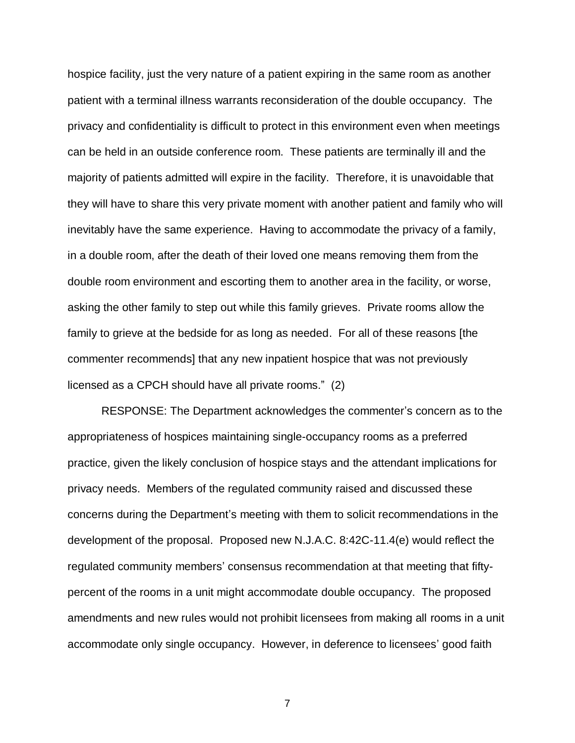hospice facility, just the very nature of a patient expiring in the same room as another patient with a terminal illness warrants reconsideration of the double occupancy. The privacy and confidentiality is difficult to protect in this environment even when meetings can be held in an outside conference room. These patients are terminally ill and the majority of patients admitted will expire in the facility. Therefore, it is unavoidable that they will have to share this very private moment with another patient and family who will inevitably have the same experience. Having to accommodate the privacy of a family, in a double room, after the death of their loved one means removing them from the double room environment and escorting them to another area in the facility, or worse, asking the other family to step out while this family grieves. Private rooms allow the family to grieve at the bedside for as long as needed. For all of these reasons [the commenter recommends] that any new inpatient hospice that was not previously licensed as a CPCH should have all private rooms." (2)

RESPONSE: The Department acknowledges the commenter's concern as to the appropriateness of hospices maintaining single-occupancy rooms as a preferred practice, given the likely conclusion of hospice stays and the attendant implications for privacy needs. Members of the regulated community raised and discussed these concerns during the Department's meeting with them to solicit recommendations in the development of the proposal. Proposed new N.J.A.C. 8:42C-11.4(e) would reflect the regulated community members' consensus recommendation at that meeting that fiftypercent of the rooms in a unit might accommodate double occupancy. The proposed amendments and new rules would not prohibit licensees from making all rooms in a unit accommodate only single occupancy. However, in deference to licensees' good faith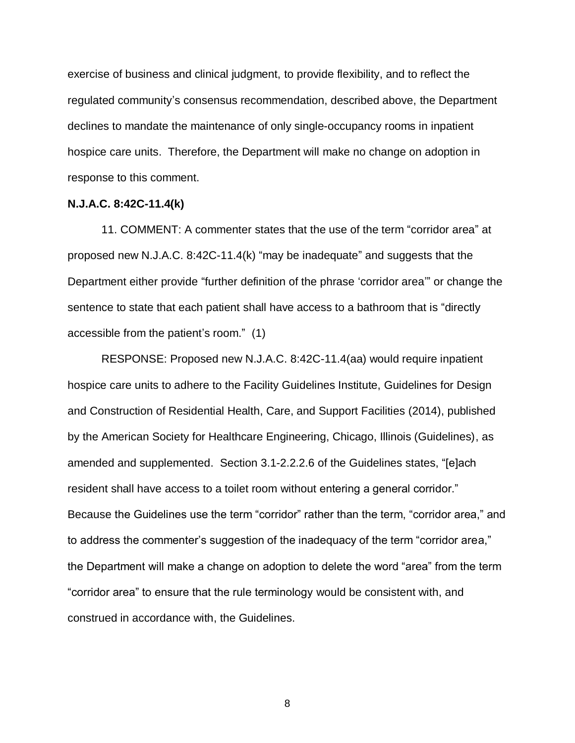exercise of business and clinical judgment, to provide flexibility, and to reflect the regulated community's consensus recommendation, described above, the Department declines to mandate the maintenance of only single-occupancy rooms in inpatient hospice care units. Therefore, the Department will make no change on adoption in response to this comment.

### **N.J.A.C. 8:42C-11.4(k)**

11. COMMENT: A commenter states that the use of the term "corridor area" at proposed new N.J.A.C. 8:42C-11.4(k) "may be inadequate" and suggests that the Department either provide "further definition of the phrase 'corridor area'" or change the sentence to state that each patient shall have access to a bathroom that is "directly accessible from the patient's room." (1)

RESPONSE: Proposed new N.J.A.C. 8:42C-11.4(aa) would require inpatient hospice care units to adhere to the Facility Guidelines Institute, Guidelines for Design and Construction of Residential Health, Care, and Support Facilities (2014), published by the American Society for Healthcare Engineering, Chicago, Illinois (Guidelines), as amended and supplemented. Section 3.1-2.2.2.6 of the Guidelines states, "[e]ach resident shall have access to a toilet room without entering a general corridor." Because the Guidelines use the term "corridor" rather than the term, "corridor area," and to address the commenter's suggestion of the inadequacy of the term "corridor area," the Department will make a change on adoption to delete the word "area" from the term "corridor area" to ensure that the rule terminology would be consistent with, and construed in accordance with, the Guidelines.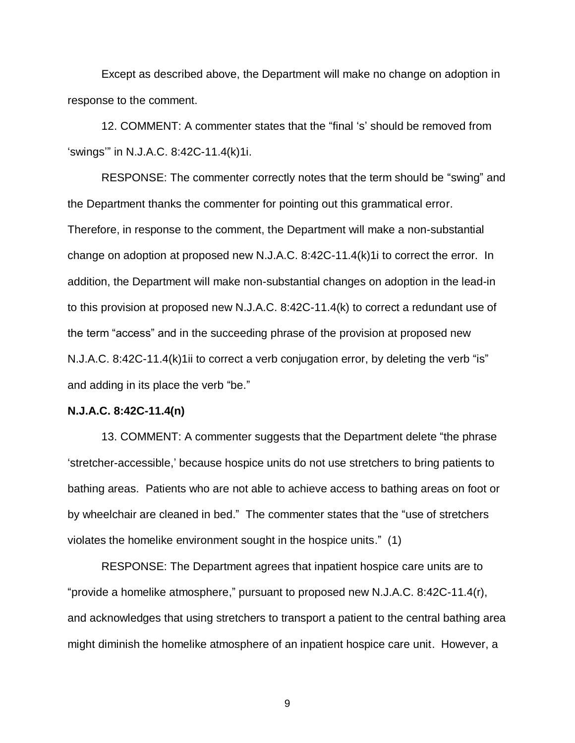Except as described above, the Department will make no change on adoption in response to the comment.

12. COMMENT: A commenter states that the "final 's' should be removed from 'swings'" in N.J.A.C. 8:42C-11.4(k)1i.

RESPONSE: The commenter correctly notes that the term should be "swing" and the Department thanks the commenter for pointing out this grammatical error. Therefore, in response to the comment, the Department will make a non-substantial change on adoption at proposed new N.J.A.C. 8:42C-11.4(k)1i to correct the error. In addition, the Department will make non-substantial changes on adoption in the lead-in to this provision at proposed new N.J.A.C. 8:42C-11.4(k) to correct a redundant use of the term "access" and in the succeeding phrase of the provision at proposed new N.J.A.C. 8:42C-11.4(k)1ii to correct a verb conjugation error, by deleting the verb "is" and adding in its place the verb "be."

#### **N.J.A.C. 8:42C-11.4(n)**

13. COMMENT: A commenter suggests that the Department delete "the phrase 'stretcher-accessible,' because hospice units do not use stretchers to bring patients to bathing areas. Patients who are not able to achieve access to bathing areas on foot or by wheelchair are cleaned in bed." The commenter states that the "use of stretchers violates the homelike environment sought in the hospice units." (1)

RESPONSE: The Department agrees that inpatient hospice care units are to "provide a homelike atmosphere," pursuant to proposed new N.J.A.C. 8:42C-11.4(r), and acknowledges that using stretchers to transport a patient to the central bathing area might diminish the homelike atmosphere of an inpatient hospice care unit. However, a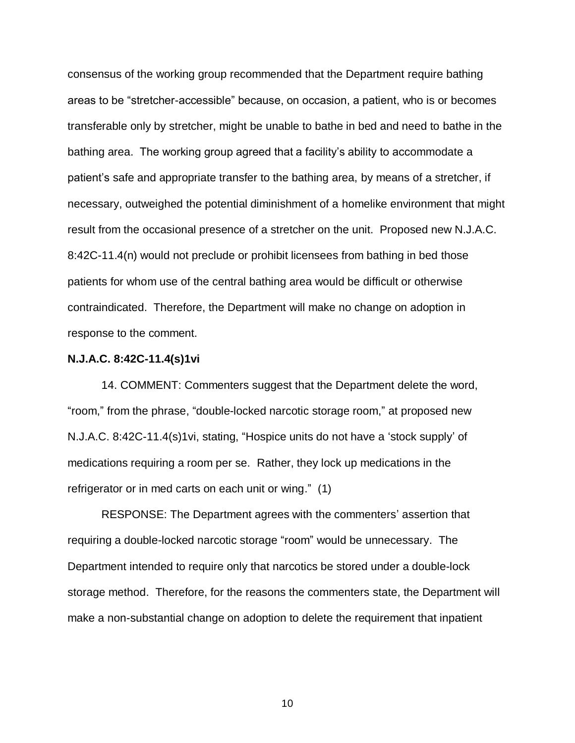consensus of the working group recommended that the Department require bathing areas to be "stretcher-accessible" because, on occasion, a patient, who is or becomes transferable only by stretcher, might be unable to bathe in bed and need to bathe in the bathing area. The working group agreed that a facility's ability to accommodate a patient's safe and appropriate transfer to the bathing area, by means of a stretcher, if necessary, outweighed the potential diminishment of a homelike environment that might result from the occasional presence of a stretcher on the unit. Proposed new N.J.A.C. 8:42C-11.4(n) would not preclude or prohibit licensees from bathing in bed those patients for whom use of the central bathing area would be difficult or otherwise contraindicated. Therefore, the Department will make no change on adoption in response to the comment.

#### **N.J.A.C. 8:42C-11.4(s)1vi**

14. COMMENT: Commenters suggest that the Department delete the word, "room," from the phrase, "double-locked narcotic storage room," at proposed new N.J.A.C. 8:42C-11.4(s)1vi, stating, "Hospice units do not have a 'stock supply' of medications requiring a room per se. Rather, they lock up medications in the refrigerator or in med carts on each unit or wing." (1)

RESPONSE: The Department agrees with the commenters' assertion that requiring a double-locked narcotic storage "room" would be unnecessary. The Department intended to require only that narcotics be stored under a double-lock storage method. Therefore, for the reasons the commenters state, the Department will make a non-substantial change on adoption to delete the requirement that inpatient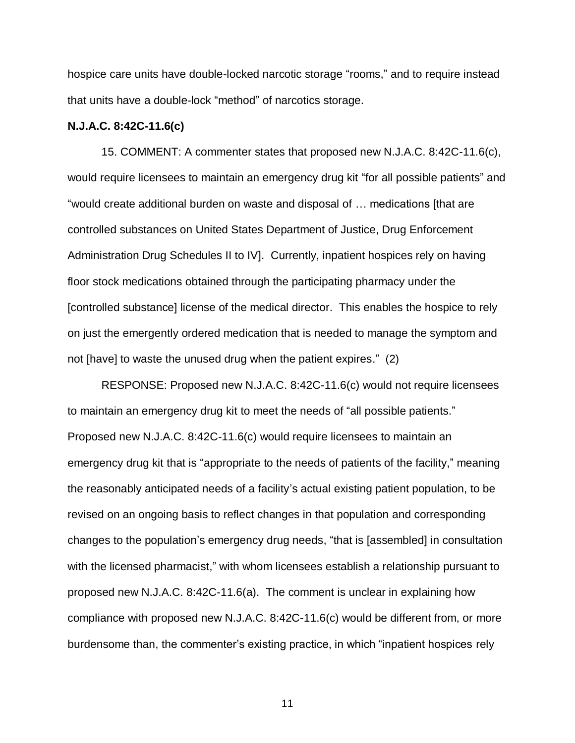hospice care units have double-locked narcotic storage "rooms," and to require instead that units have a double-lock "method" of narcotics storage.

### **N.J.A.C. 8:42C-11.6(c)**

15. COMMENT: A commenter states that proposed new N.J.A.C. 8:42C-11.6(c), would require licensees to maintain an emergency drug kit "for all possible patients" and "would create additional burden on waste and disposal of … medications [that are controlled substances on United States Department of Justice, Drug Enforcement Administration Drug Schedules II to IV]. Currently, inpatient hospices rely on having floor stock medications obtained through the participating pharmacy under the [controlled substance] license of the medical director. This enables the hospice to rely on just the emergently ordered medication that is needed to manage the symptom and not [have] to waste the unused drug when the patient expires." (2)

RESPONSE: Proposed new N.J.A.C. 8:42C-11.6(c) would not require licensees to maintain an emergency drug kit to meet the needs of "all possible patients." Proposed new N.J.A.C. 8:42C-11.6(c) would require licensees to maintain an emergency drug kit that is "appropriate to the needs of patients of the facility," meaning the reasonably anticipated needs of a facility's actual existing patient population, to be revised on an ongoing basis to reflect changes in that population and corresponding changes to the population's emergency drug needs, "that is [assembled] in consultation with the licensed pharmacist," with whom licensees establish a relationship pursuant to proposed new N.J.A.C. 8:42C-11.6(a). The comment is unclear in explaining how compliance with proposed new N.J.A.C. 8:42C-11.6(c) would be different from, or more burdensome than, the commenter's existing practice, in which "inpatient hospices rely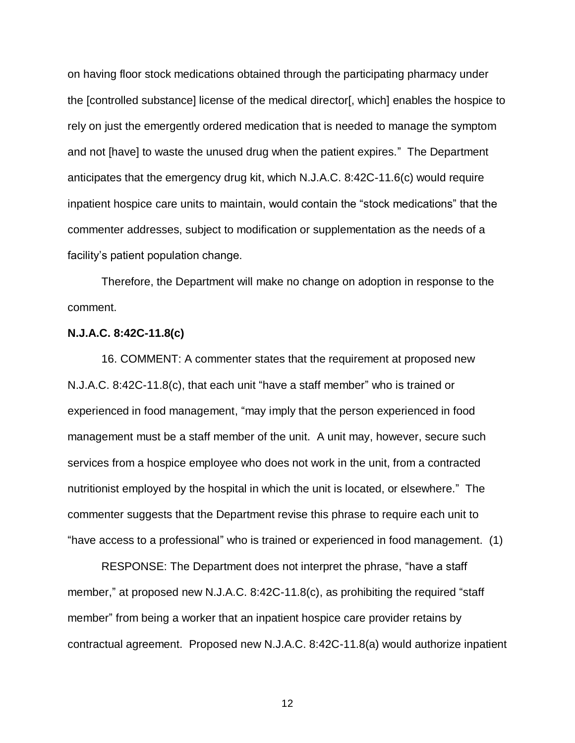on having floor stock medications obtained through the participating pharmacy under the [controlled substance] license of the medical director[, which] enables the hospice to rely on just the emergently ordered medication that is needed to manage the symptom and not [have] to waste the unused drug when the patient expires." The Department anticipates that the emergency drug kit, which N.J.A.C. 8:42C-11.6(c) would require inpatient hospice care units to maintain, would contain the "stock medications" that the commenter addresses, subject to modification or supplementation as the needs of a facility's patient population change.

Therefore, the Department will make no change on adoption in response to the comment.

### **N.J.A.C. 8:42C-11.8(c)**

16. COMMENT: A commenter states that the requirement at proposed new N.J.A.C. 8:42C-11.8(c), that each unit "have a staff member" who is trained or experienced in food management, "may imply that the person experienced in food management must be a staff member of the unit. A unit may, however, secure such services from a hospice employee who does not work in the unit, from a contracted nutritionist employed by the hospital in which the unit is located, or elsewhere." The commenter suggests that the Department revise this phrase to require each unit to "have access to a professional" who is trained or experienced in food management. (1)

RESPONSE: The Department does not interpret the phrase, "have a staff member," at proposed new N.J.A.C. 8:42C-11.8(c), as prohibiting the required "staff member" from being a worker that an inpatient hospice care provider retains by contractual agreement. Proposed new N.J.A.C. 8:42C-11.8(a) would authorize inpatient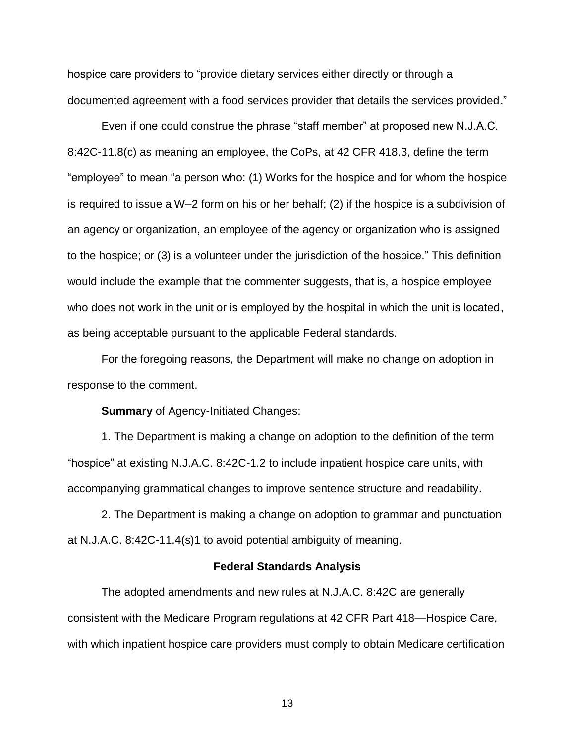hospice care providers to "provide dietary services either directly or through a documented agreement with a food services provider that details the services provided."

Even if one could construe the phrase "staff member" at proposed new N.J.A.C. 8:42C-11.8(c) as meaning an employee, the CoPs, at 42 CFR 418.3, define the term "employee" to mean "a person who: (1) Works for the hospice and for whom the hospice is required to issue a W–2 form on his or her behalf; (2) if the hospice is a subdivision of an agency or organization, an employee of the agency or organization who is assigned to the hospice; or (3) is a volunteer under the jurisdiction of the hospice." This definition would include the example that the commenter suggests, that is, a hospice employee who does not work in the unit or is employed by the hospital in which the unit is located, as being acceptable pursuant to the applicable Federal standards.

For the foregoing reasons, the Department will make no change on adoption in response to the comment.

### **Summary** of Agency-Initiated Changes:

1. The Department is making a change on adoption to the definition of the term "hospice" at existing N.J.A.C. 8:42C-1.2 to include inpatient hospice care units, with accompanying grammatical changes to improve sentence structure and readability.

2. The Department is making a change on adoption to grammar and punctuation at N.J.A.C. 8:42C-11.4(s)1 to avoid potential ambiguity of meaning.

#### **Federal Standards Analysis**

The adopted amendments and new rules at N.J.A.C. 8:42C are generally consistent with the Medicare Program regulations at 42 CFR Part 418—Hospice Care, with which inpatient hospice care providers must comply to obtain Medicare certification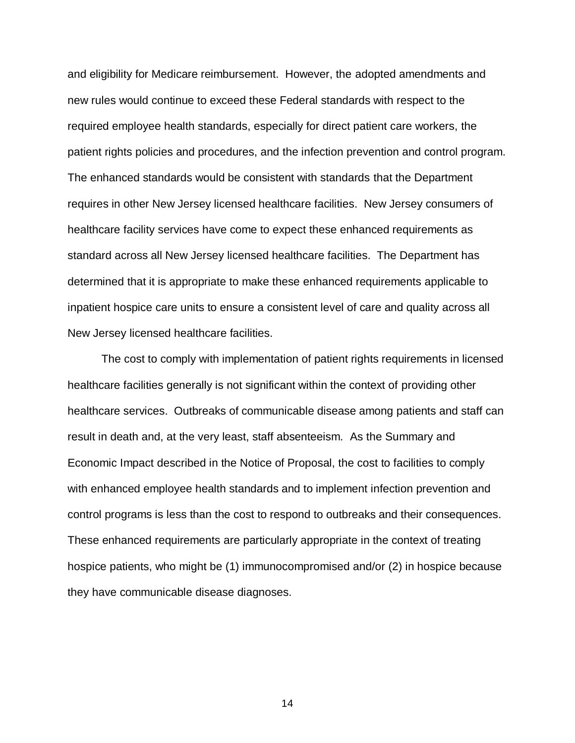and eligibility for Medicare reimbursement. However, the adopted amendments and new rules would continue to exceed these Federal standards with respect to the required employee health standards, especially for direct patient care workers, the patient rights policies and procedures, and the infection prevention and control program. The enhanced standards would be consistent with standards that the Department requires in other New Jersey licensed healthcare facilities. New Jersey consumers of healthcare facility services have come to expect these enhanced requirements as standard across all New Jersey licensed healthcare facilities. The Department has determined that it is appropriate to make these enhanced requirements applicable to inpatient hospice care units to ensure a consistent level of care and quality across all New Jersey licensed healthcare facilities.

The cost to comply with implementation of patient rights requirements in licensed healthcare facilities generally is not significant within the context of providing other healthcare services. Outbreaks of communicable disease among patients and staff can result in death and, at the very least, staff absenteeism. As the Summary and Economic Impact described in the Notice of Proposal, the cost to facilities to comply with enhanced employee health standards and to implement infection prevention and control programs is less than the cost to respond to outbreaks and their consequences. These enhanced requirements are particularly appropriate in the context of treating hospice patients, who might be (1) immunocompromised and/or (2) in hospice because they have communicable disease diagnoses.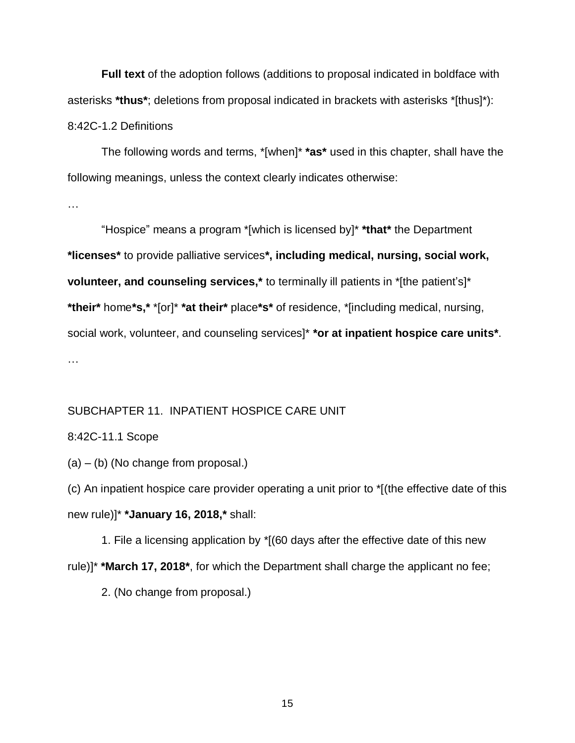**Full text** of the adoption follows (additions to proposal indicated in boldface with asterisks **\*thus\***; deletions from proposal indicated in brackets with asterisks \*[thus]\*): 8:42C-1.2 Definitions

The following words and terms, \*[when]\* **\*as\*** used in this chapter, shall have the following meanings, unless the context clearly indicates otherwise:

…

"Hospice" means a program \*[which is licensed by]\* **\*that\*** the Department **\*licenses\*** to provide palliative services**\*, including medical, nursing, social work, volunteer, and counseling services,\*** to terminally ill patients in \*[the patient's]\* **\*their\*** home**\*s,\*** \*[or]\* **\*at their\*** place**\*s\*** of residence, \*[including medical, nursing, social work, volunteer, and counseling services]\* **\*or at inpatient hospice care units\***. …

## SUBCHAPTER 11. INPATIENT HOSPICE CARE UNIT

### 8:42C-11.1 Scope

(a) – (b) (No change from proposal.)

(c) An inpatient hospice care provider operating a unit prior to \*[(the effective date of this new rule)]\* **\*January 16, 2018,\*** shall:

1. File a licensing application by \*[(60 days after the effective date of this new rule)]\* **\*March 17, 2018\***, for which the Department shall charge the applicant no fee;

2. (No change from proposal.)